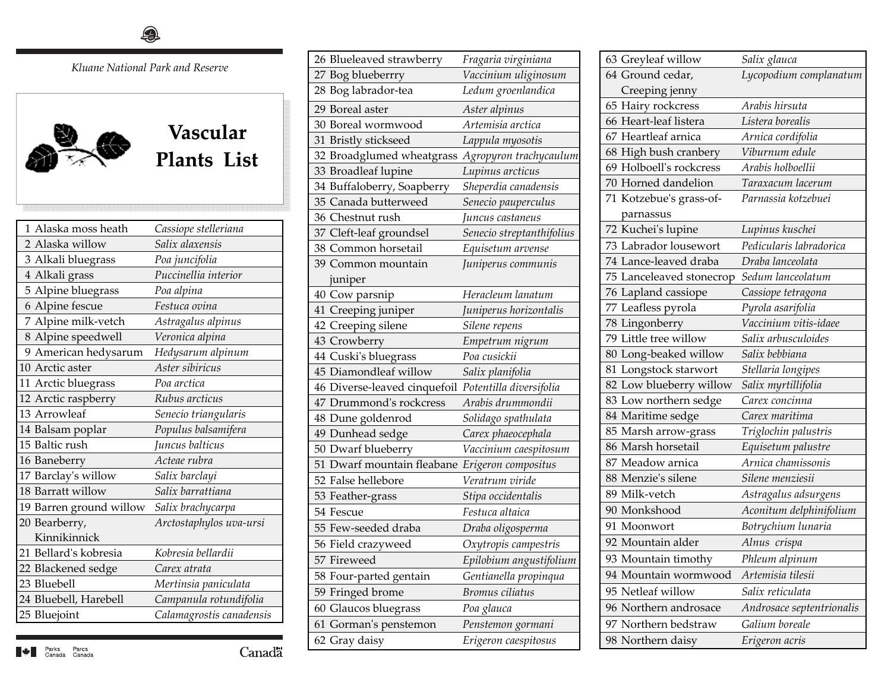*Kluane National Park and Reserve* 



## **Vascular Plants List Plants List**

| 1 Alaska moss heath     | Cassiope stelleriana     |
|-------------------------|--------------------------|
| 2 Alaska willow         | Salix alaxensis          |
| 3 Alkali bluegrass      | Poa juncifolia           |
| 4 Alkali grass          | Puccinellia interior     |
| 5 Alpine bluegrass      | Poa alpina               |
| 6 Alpine fescue         | Festuca ovina            |
| 7 Alpine milk-vetch     | Astragalus alpinus       |
| 8 Alpine speedwell      | Veronica alpina          |
| 9 American hedysarum    | Hedysarum alpinum        |
| 10 Arctic aster         | Aster sibiricus          |
| 11 Arctic bluegrass     | Poa arctica              |
| 12 Arctic raspberry     | Rubus arcticus           |
| 13 Arrowleaf            | Senecio triangularis     |
|                         |                          |
| 14 Balsam poplar        | Populus balsamifera      |
| 15 Baltic rush          | Juncus balticus          |
| 16 Baneberry            | Acteae rubra             |
| 17 Barclay's willow     | Salix barclayi           |
| 18 Barratt willow       | Salix barrattiana        |
| 19 Barren ground willow | Salix brachycarpa        |
| 20 Bearberry,           | Arctostaphylos uva-ursi  |
| Kinnikinnick            |                          |
| 21 Bellard's kobresia   | Kobresia bellardii       |
| 22 Blackened sedge      | Carex atrata             |
| 23 Bluebell             | Mertinsia paniculata     |
| 24 Bluebell, Harebell   | Campanula rotundifolia   |
| 25 Bluejoint            | Calamagrostis canadensis |

| 26 Blueleaved strawberry     | Fragaria virginiana       |
|------------------------------|---------------------------|
| 27 Bog blueberrry            | Vaccinium uliginosum      |
| 28 Bog labrador-tea          | Ledum groenlandica        |
| 29 Boreal aster              | Aster alpinus             |
| 30 Boreal wormwood           | Artemisia arctica         |
| 31 Bristly stickseed         | Lappula myosotis          |
| 32 Broadglumed wheatgrass    | Agropyron trachycaulum    |
| 33 Broadleaf lupine          | Lupinus arcticus          |
| 34 Buffaloberry, Soapberry   | Sheperdia canadensis      |
| 35 Canada butterweed         | Senecio pauperculus       |
| 36 Chestnut rush             | Juncus castaneus          |
| 37 Cleft-leaf groundsel      | Senecio streptanthifolius |
| 38 Common horsetail          | Equisetum arvense         |
| 39 Common mountain           | Juniperus communis        |
| juniper                      |                           |
| 40 Cow parsnip               | Heracleum lanatum         |
| 41 Creeping juniper          | Juniperus horizontalis    |
| 42 Creeping silene           | Silene repens             |
| 43 Crowberry                 | Empetrum nigrum           |
| 44 Cuski's bluegrass         | Poa cusickii              |
| 45 Diamondleaf willow        | Salix planifolia          |
| 46 Diverse-leaved cinquefoil | Potentilla diversifolia   |
| 47 Drummond's rockcress      | Arabis drummondii         |
| 48 Dune goldenrod            | Solidago spathulata       |
| 49 Dunhead sedge             | Carex phaeocephala        |
| 50 Dwarf blueberry           | Vaccinium caespitosum     |
| 51 Dwarf mountain fleabane   | Erigeron compositus       |
| 52 False hellebore           | Veratrum viride           |
| 53 Feather-grass             | Stipa occidentalis        |
| 54 Fescue                    | Festuca altaica           |
| 55 Few-seeded draba          | Draba oligosperma         |
| 56 Field crazyweed           | Oxytropis campestris      |
| 57 Fireweed                  | Epilobium angustifolium   |
| 58 Four-parted gentain       | Gentianella propinqua     |
| 59 Fringed brome             | Bromus ciliatus           |
| 60 Glaucos bluegrass         | Poa glauca                |
| 61 Gorman's penstemon        | Penstemon gormani         |
| 62 Gray daisy                | Erigeron caespitosus      |

| Salix glauca              |
|---------------------------|
| Lycopodium complanatum    |
|                           |
| Arabis hirsuta            |
| Listera borealis          |
| Arnica cordifolia         |
| Viburnum edule            |
| Arabis holboellii         |
| Taraxacum lacerum         |
| Parnassia kotzebuei       |
|                           |
| Lupinus kuschei           |
| Pedicularis labradorica   |
| Draba lanceolata          |
| Sedum lanceolatum         |
| Cassiope tetragona        |
| Pyrola asarifolia         |
| Vaccinium vitis-idaee     |
| Salix arbusculoides       |
| Salix bebbiana            |
| Stellaria longipes        |
| Salix myrtillifolia       |
| Carex concinna            |
| Carex maritima            |
| Triglochin palustris      |
| Equisetum palustre        |
| Arnica chamissonis        |
| Silene menziesii          |
| Astragalus adsurgens      |
| Aconitum delphinifolium   |
| Botrychium lunaria        |
| Alnus crispa              |
| Phleum alpinum            |
| Artemisia tilesii         |
|                           |
| Salix reticulata          |
| Androsace septentrionalis |
| Galium boreale            |
|                           |

 $\blacksquare \triangleq \blacksquare$  Parks Parcs<br>Canada Canada

Canadä